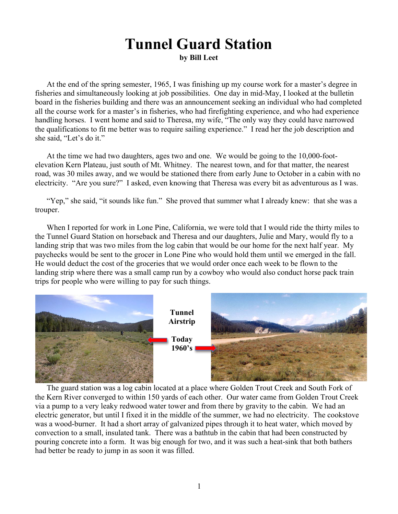## **Tunnel Guard Station by Bill Leet**

At the end of the spring semester, 1965, I was finishing up my course work for a master's degree in fisheries and simultaneously looking at job possibilities. One day in mid-May, I looked at the bulletin board in the fisheries building and there was an announcement seeking an individual who had completed all the course work for a master's in fisheries, who had firefighting experience, and who had experience handling horses. I went home and said to Theresa, my wife, "The only way they could have narrowed the qualifications to fit me better was to require sailing experience." I read her the job description and she said, "Let's do it."

At the time we had two daughters, ages two and one. We would be going to the 10,000-footelevation Kern Plateau, just south of Mt. Whitney. The nearest town, and for that matter, the nearest road, was 30 miles away, and we would be stationed there from early June to October in a cabin with no electricity. "Are you sure?" I asked, even knowing that Theresa was every bit as adventurous as I was.

"Yep," she said, "it sounds like fun." She proved that summer what I already knew: that she was a trouper.

When I reported for work in Lone Pine, California, we were told that I would ride the thirty miles to the Tunnel Guard Station on horseback and Theresa and our daughters, Julie and Mary, would fly to a landing strip that was two miles from the log cabin that would be our home for the next half year. My paychecks would be sent to the grocer in Lone Pine who would hold them until we emerged in the fall. He would deduct the cost of the groceries that we would order once each week to be flown to the landing strip where there was a small camp run by a cowboy who would also conduct horse pack train trips for people who were willing to pay for such things.



The guard station was a log cabin located at a place where Golden Trout Creek and South Fork of the Kern River converged to within 150 yards of each other. Our water came from Golden Trout Creek via a pump to a very leaky redwood water tower and from there by gravity to the cabin. We had an electric generator, but until I fixed it in the middle of the summer, we had no electricity. The cookstove was a wood-burner. It had a short array of galvanized pipes through it to heat water, which moved by convection to a small, insulated tank. There was a bathtub in the cabin that had been constructed by pouring concrete into a form. It was big enough for two, and it was such a heat-sink that both bathers had better be ready to jump in as soon it was filled.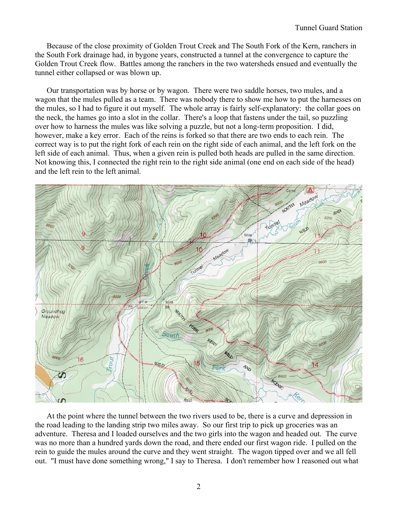Because of the close proximity of Golden Trout Creek and The South Fork of the Kern, ranchers in the South Fork drainage had, in bygone years, constructed a tunnel at the convergence to capture the Golden Trout Creek flow. Battles among the ranchers in the two watersheds ensued and eventually the tunnel either collapsed or was blown up.

Our transportation was by horse or by wagon. There were two saddle horses, two mules, and a wagon that the mules pulled as a team. There was nobody there to show me how to put the harnesses on the mules, so I had to figure it out myself. The whole array is fairly self-explanatory: the collar goes on the neck, the hames go into a slot in the collar. There's a loop that fastens under the tail, so puzzling over how to harness the mules was like solving a puzzle, but not a long-term proposition. I did, however, make a key error. Each of the reins is forked so that there are two ends to each rein. The correct way is to put the right fork of each rein on the right side of each animal, and the left fork on the left side of each animal. Thus, when a given rein is pulled both heads are pulled in the same direction. Not knowing this, I connected the right rein to the right side animal (one end on each side of the head) and the left rein to the left animal.



At the point where the tunnel between the two rivers used to be, there is a curve and depression in the road leading to the landing strip two miles away. So our first trip to pick up groceries was an adventure. Theresa and I loaded ourselves and the two girls into the wagon and headed out. The curve was no more than a hundred yards down the road, and there ended our first wagon ride. I pulled on the rein to guide the mules around the curve and they went straight. The wagon tipped over and we all fell out. "I must have done something wrong," I say to Theresa. I don't remember how I reasoned out what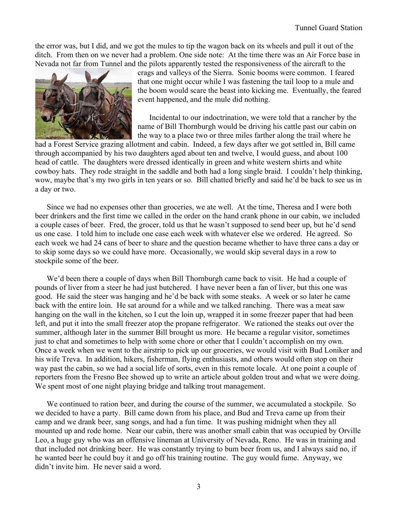the error was, but I did, and we got the mules to tip the wagon back on its wheels and pull it out of the ditch. From then on we never had a problem. One side note: At the time there was an Air Force base in Nevada not far from Tunnel and the pilots apparently tested the responsiveness of the aircraft to the



crags and valleys of the Sierra. Sonic booms were common. I feared that one might occur while I was fastening the tail loop to a mule and the boom would scare the beast into kicking me. Eventually, the feared event happened, and the mule did nothing.

Incidental to our indoctrination, we were told that a rancher by the name of Bill Thornburgh would be driving his cattle past our cabin on the way to a place two or three miles farther along the trail where he

had a Forest Service grazing allotment and cabin. Indeed, a few days after we got settled in, Bill came through accompanied by his two daughters aged about ten and twelve, I would guess, and about 100 head of cattle. The daughters were dressed identically in green and white western shirts and white cowboy hats. They rode straight in the saddle and both had a long single braid. I couldn't help thinking, wow, maybe that's my two girls in ten years or so. Bill chatted briefly and said he'd be back to see us in a day or two.

Since we had no expenses other than groceries, we ate well. At the time, Theresa and I were both beer drinkers and the first time we called in the order on the hand crank phone in our cabin, we included a couple cases of beer. Fred, the grocer, told us that he wasn't supposed to send beer up, but he'd send us one case. I told him to include one case each week with whatever else we ordered. He agreed. So each week we had 24 cans of beer to share and the question became whether to have three cans a day or to skip some days so we could have more. Occasionally, we would skip several days in a row to stockpile some of the beer.

We'd been there a couple of days when Bill Thornburgh came back to visit. He had a couple of pounds of liver from a steer he had just butchered. I have never been a fan of liver, but this one was good. He said the steer was hanging and he'd be back with some steaks. A week or so later he came back with the entire loin. He sat around for a while and we talked ranching. There was a meat saw hanging on the wall in the kitchen, so I cut the loin up, wrapped it in some freezer paper that had been left, and put it into the small freezer atop the propane refrigerator. We rationed the steaks out over the summer, although later in the summer Bill brought us more. He became a regular visitor, sometimes just to chat and sometimes to help with some chore or other that I couldn't accomplish on my own. Once a week when we went to the airstrip to pick up our groceries, we would visit with Bud Loniker and his wife Treva. In addition, hikers, fisherman, flying enthusiasts, and others would often stop on their way past the cabin, so we had a social life of sorts, even in this remote locale. At one point a couple of reporters from the Fresno Bee showed up to write an article about golden trout and what we were doing. We spent most of one night playing bridge and talking trout management.

We continued to ration beer, and during the course of the summer, we accumulated a stockpile. So we decided to have a party. Bill came down from his place, and Bud and Treva came up from their camp and we drank beer, sang songs, and had a fun time. It was pushing midnight when they all mounted up and rode home. Near our cabin, there was another small cabin that was occupied by Orville Leo, a huge guy who was an offensive lineman at University of Nevada, Reno. He was in training and that included not drinking beer. He was constantly trying to bum beer from us, and I always said no, if he wanted beer he could buy it and go off his training routine. The guy would fume. Anyway, we didn't invite him. He never said a word.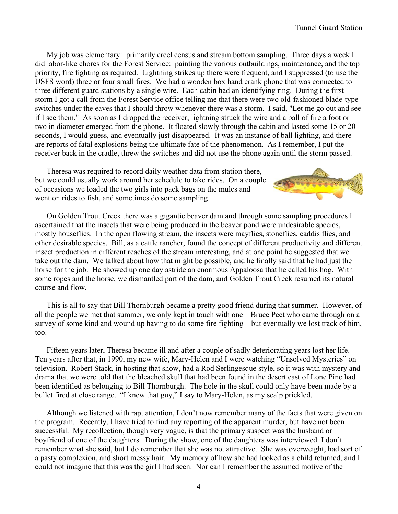My job was elementary: primarily creel census and stream bottom sampling. Three days a week I did labor-like chores for the Forest Service: painting the various outbuildings, maintenance, and the top priority, fire fighting as required. Lightning strikes up there were frequent, and I suppressed (to use the USFS word) three or four small fires. We had a wooden box hand crank phone that was connected to three different guard stations by a single wire. Each cabin had an identifying ring. During the first storm I got a call from the Forest Service office telling me that there were two old-fashioned blade-type switches under the eaves that I should throw whenever there was a storm. I said, "Let me go out and see if I see them." As soon as I dropped the receiver, lightning struck the wire and a ball of fire a foot or two in diameter emerged from the phone. It floated slowly through the cabin and lasted some 15 or 20 seconds, I would guess, and eventually just disappeared. It was an instance of ball lighting, and there are reports of fatal explosions being the ultimate fate of the phenomenon. As I remember, I put the receiver back in the cradle, threw the switches and did not use the phone again until the storm passed.

Theresa was required to record daily weather data from station there, but we could usually work around her schedule to take rides. On a couple of occasions we loaded the two girls into pack bags on the mules and went on rides to fish, and sometimes do some sampling.



On Golden Trout Creek there was a gigantic beaver dam and through some sampling procedures I ascertained that the insects that were being produced in the beaver pond were undesirable species, mostly houseflies. In the open flowing stream, the insects were mayflies, stoneflies, caddis flies, and other desirable species. Bill, as a cattle rancher, found the concept of different productivity and different insect production in different reaches of the stream interesting, and at one point he suggested that we take out the dam. We talked about how that might be possible, and he finally said that he had just the horse for the job. He showed up one day astride an enormous Appaloosa that he called his hog. With some ropes and the horse, we dismantled part of the dam, and Golden Trout Creek resumed its natural course and flow.

This is all to say that Bill Thornburgh became a pretty good friend during that summer. However, of all the people we met that summer, we only kept in touch with one – Bruce Peet who came through on a survey of some kind and wound up having to do some fire fighting – but eventually we lost track of him, too.

Fifteen years later, Theresa became ill and after a couple of sadly deteriorating years lost her life. Ten years after that, in 1990, my new wife, Mary-Helen and I were watching "Unsolved Mysteries" on television. Robert Stack, in hosting that show, had a Rod Serlingesque style, so it was with mystery and drama that we were told that the bleached skull that had been found in the desert east of Lone Pine had been identified as belonging to Bill Thornburgh. The hole in the skull could only have been made by a bullet fired at close range. "I knew that guy," I say to Mary-Helen, as my scalp prickled.

Although we listened with rapt attention, I don't now remember many of the facts that were given on the program. Recently, I have tried to find any reporting of the apparent murder, but have not been successful. My recollection, though very vague, is that the primary suspect was the husband or boyfriend of one of the daughters. During the show, one of the daughters was interviewed. I don't remember what she said, but I do remember that she was not attractive. She was overweight, had sort of a pasty complexion, and short messy hair. My memory of how she had looked as a child returned, and I could not imagine that this was the girl I had seen. Nor can I remember the assumed motive of the